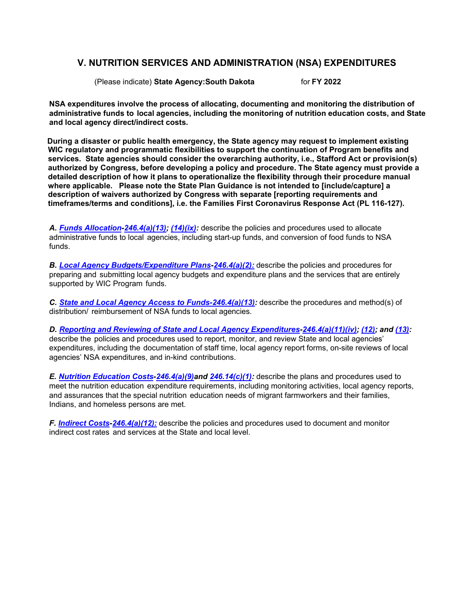# **V. NUTRITION SERVICES AND ADMINISTRATION (NSA) EXPENDITURES**

(Please indicate) **State Agency:South Dakota** for **FY 2022**

**NSA expenditures involve the process of allocating, documenting and monitoring the distribution of administrative funds to local agencies, including the monitoring of nutrition education costs, and State and local agency direct/indirect costs.**

**During a disaster or public health emergency, the State agency may request to implement existing WIC regulatory and programmatic flexibilities to support the continuation of Program benefits and services. State agencies should consider the overarching authority, i.e., Stafford Act or provision(s) authorized by Congress, before developing a policy and procedure. The State agency must provide a detailed description of how it plans to operationalize the flexibility through their procedure manual where applicable. Please note the State Plan Guidance is not intended to [include/capture] a description of waivers authorized by Congress with separate [reporting requirements and timeframes/terms and conditions], i.e. the Families First Coronavirus Response Act (PL 116-127).**

*A. Funds [Allocation](#page-1-0)[-246.4\(a\)\(13\);](https://ecfr.federalregister.gov/current/title-7/subtitle-B/chapter-II/subchapter-A/part-246#p-246.4(a)(13)) [\(14\)\(ix\):](https://ecfr.federalregister.gov/current/title-7/subtitle-B/chapter-II/subchapter-A/part-246#p-246.4(a)(14)(ix))* describe the policies and procedures used to allocate administrative funds to local agencies, including start-up funds, and conversion of food funds to NSA funds.

*B. Local Agency [Budgets/Expenditure](#page-2-0) Plans[-246.4\(a\)\(2\):](https://ecfr.federalregister.gov/current/title-7/subtitle-B/chapter-II/subchapter-A/part-246#p-246.4(a)(2))* describe the policies and procedures for preparing and submitting local agency budgets and expenditure plans and the services that are entirely supported by WIC Program funds.

*C. State and Local [Agency Access to](#page-3-0) Funds[-246.4\(a\)\(13\):](https://ecfr.federalregister.gov/current/title-7/subtitle-B/chapter-II/subchapter-A/part-246#p-246.4(a)(13))* describe the procedures and method(s) of distribution/ reimbursement of NSA funds to local agencies.

*D. Reporting and Reviewing of State and Local Agency [Expenditures-](#page-4-0)[246.4\(a\)\(11\)\(iv\);](https://ecfr.federalregister.gov/current/title-7/subtitle-B/chapter-II/subchapter-A/part-246#p-246.4(a)(11)(iv)) [\(12\);](https://ecfr.federalregister.gov/current/title-7/subtitle-B/chapter-II/subchapter-A/part-246#p-246.4(a)(12)) and [\(13\):](https://ecfr.federalregister.gov/current/title-7/subtitle-B/chapter-II/subchapter-A/part-246#p-246.4(a)(13))* describe the policies and procedures used to report, monitor, and review State and local agencies' expenditures, including the documentation of staff time, local agency report forms, on-site reviews of local agencies' NSA expenditures, and in-kind contributions.

*E. Nutrition [Education](#page-6-0) Costs[-246.4\(a\)\(9\)a](https://ecfr.federalregister.gov/current/title-7/subtitle-B/chapter-II/subchapter-A/part-246#p-246.4(a)(9))nd [246.14\(c\)\(1\):](https://ecfr.federalregister.gov/current/title-7/subtitle-B/chapter-II/subchapter-A/part-246#p-246.14(c)(1))* describe the plans and procedures used to meet the nutrition education expenditure requirements, including monitoring activities, local agency reports, and assurances that the special nutrition education needs of migrant farmworkers and their families, Indians, and homeless persons are met.

*F. [Indirect](#page-7-0) Costs[-246.4\(a\)\(12\):](https://ecfr.federalregister.gov/current/title-7/subtitle-B/chapter-II/subchapter-A/part-246#p-246.4(a)(12))* describe the policies and procedures used to document and monitor indirect cost rates and services at the State and local level.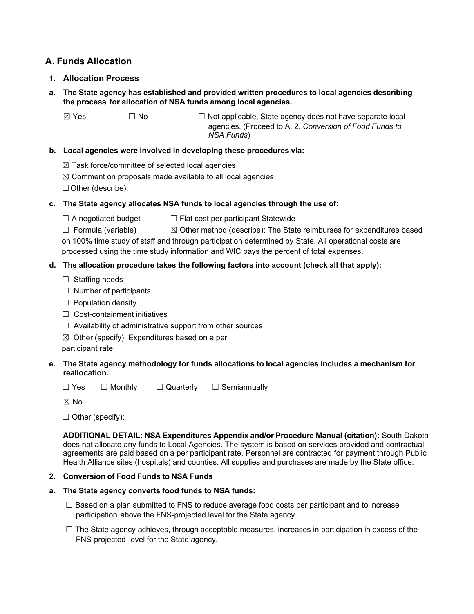# <span id="page-1-0"></span>**A. Funds Allocation**

- **1. Allocation Process**
- **a. The State agency has established and provided written procedures to local agencies describing the process for allocation of NSA funds among local agencies.**

 $\boxtimes$  Yes  $\Box$  No  $\Box$  Not applicable, State agency does not have separate local agencies. (Proceed to A. 2. *Conversion of Food Funds to NSA Funds*)

## **b. Local agencies were involved in developing these procedures via:**

 $\boxtimes$  Task force/committee of selected local agencies

 $\boxtimes$  Comment on proposals made available to all local agencies

☐Other (describe):

## **c. The State agency allocates NSA funds to local agencies through the use of:**

 $\Box$  A negotiated budget  $\Box$  Flat cost per participant Statewide

☐ Formula (variable) ☒ Other method (describe): The State reimburses for expenditures based on 100% time study of staff and through participation determined by State. All operational costs are processed using the time study information and WIC pays the percent of total expenses.

## **d. The allocation procedure takes the following factors into account (check all that apply):**

- ☐ Staffing needs
- $\Box$  Number of participants
- ☐ Population density
- ☐ Cost-containment initiatives
- $\Box$  Availability of administrative support from other sources
- $\boxtimes$  Other (specify): Expenditures based on a per

participant rate.

## **e. The State agency methodology for funds allocations to local agencies includes a mechanism for reallocation.**

☐ Yes ☐ Monthly ☐ Quarterly ☐ Semiannually

☒ No

 $\Box$  Other (specify):

**ADDITIONAL DETAIL: NSA Expenditures Appendix and/or Procedure Manual (citation):** South Dakota does not allocate any funds to Local Agencies. The system is based on services provided and contractual agreements are paid based on a per participant rate. Personnel are contracted for payment through Public Health Alliance sites (hospitals) and counties. All supplies and purchases are made by the State office.

## **2. Conversion of Food Funds to NSA Funds**

## **a. The State agency converts food funds to NSA funds:**

- $\Box$  Based on a plan submitted to FNS to reduce average food costs per participant and to increase participation above the FNS-projected level for the State agency.
- $\Box$  The State agency achieves, through acceptable measures, increases in participation in excess of the FNS-projected level for the State agency.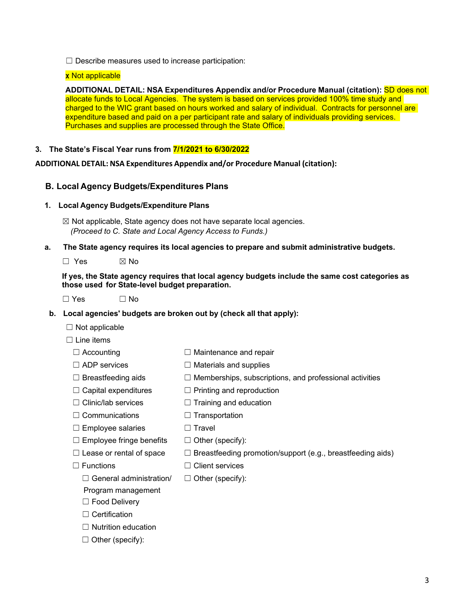$\Box$  Describe measures used to increase participation:

#### x Not applicable

**ADDITIONAL DETAIL: NSA Expenditures Appendix and/or Procedure Manual (citation):** SD does not allocate funds to Local Agencies. The system is based on services provided 100% time study and charged to the WIC grant based on hours worked and salary of individual. Contracts for personnel are expenditure based and paid on a per participant rate and salary of individuals providing services. Purchases and supplies are processed through the State Office.

### **3. The State's Fiscal Year runs from 7/1/2021 to 6/30/2022**

<span id="page-2-0"></span>**ADDITIONAL DETAIL: NSA Expenditures Appendix and/or Procedure Manual (citation):** 

## **B. Local Agency Budgets/Expenditures Plans**

#### **1. Local Agency Budgets/Expenditure Plans**

 $\boxtimes$  Not applicable, State agency does not have separate local agencies.  *(Proceed to C. State and Local Agency Access to Funds.)*

#### **a. The State agency requires its local agencies to prepare and submit administrative budgets.**

 $\square$  Yes  $\square$  No

**If yes, the State agency requires that local agency budgets include the same cost categories as those used for State-level budget preparation.**

 $\Box$  Yes  $\Box$  No

#### **b. Local agencies' budgets are broken out by (check all that apply):**

 $\Box$  Not applicable

 $\Box$  Line items

- ☐ Accounting ☐ Maintenance and repair
- 
- ☐ ADP services ☐ Materials and supplies
- $□$  Breastfeeding aids  $□$  Memberships, subscriptions, and professional activities
- $\Box$  Capital expenditures  $\Box$  Printing and reproduction
- ☐ Clinic/lab services ☐ Training and education
- ☐ Communications ☐ Transportation
- ☐ Employee salaries ☐ Travel
- $\Box$  Employee fringe benefits  $\Box$  Other (specify):
- $\Box$  Lease or rental of space  $\Box$  Breastfeeding promotion/support (e.g., breastfeeding aids)
- 
- ☐ Functions ☐ Client services
	- $\Box$  General administration/  $\Box$  Other (specify):
	- Program management
	- ☐ Food Delivery
	- ☐ Certification
	- ☐ Nutrition education
	- $\Box$  Other (specify):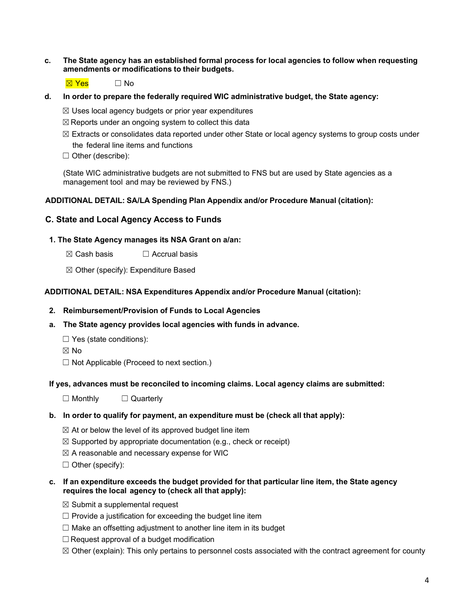**c. The State agency has an established formal process for local agencies to follow when requesting amendments or modifications to their budgets.**

☒ Yes ☐ No

**d. In order to prepare the federally required WIC administrative budget, the State agency:**

 $\boxtimes$  Uses local agency budgets or prior year expenditures

- $\boxtimes$  Reports under an ongoing system to collect this data
- $\boxtimes$  Extracts or consolidates data reported under other State or local agency systems to group costs under the federal line items and functions
- ☐ Other (describe):

(State WIC administrative budgets are not submitted to FNS but are used by State agencies as a management tool and may be reviewed by FNS.)

## **ADDITIONAL DETAIL: SA/LA Spending Plan Appendix and/or Procedure Manual (citation):**

## <span id="page-3-0"></span>**C. State and Local Agency Access to Funds**

### **1. The State Agency manages its NSA Grant on a/an:**

- $\boxtimes$  Cash basis  $\Box$  Accrual basis
- ☒ Other (specify): Expenditure Based

## **ADDITIONAL DETAIL: NSA Expenditures Appendix and/or Procedure Manual (citation):**

#### **2. Reimbursement/Provision of Funds to Local Agencies**

- **a. The State agency provides local agencies with funds in advance.**
	- $\Box$  Yes (state conditions):
	- ☒ No
	- ☐ Not Applicable (Proceed to next section.)

#### **If yes, advances must be reconciled to incoming claims. Local agency claims are submitted:**

☐ Monthly ☐ Quarterly

## **b. In order to qualify for payment, an expenditure must be (check all that apply):**

- $\boxtimes$  At or below the level of its approved budget line item
- $\boxtimes$  Supported by appropriate documentation (e.g., check or receipt)
- $\boxtimes$  A reasonable and necessary expense for WIC
- ☐ Other (specify):

### **c. If an expenditure exceeds the budget provided for that particular line item, the State agency requires the local agency to (check all that apply):**

- $\boxtimes$  Submit a supplemental request
- $\Box$  Provide a justification for exceeding the budget line item
- $\Box$  Make an offsetting adjustment to another line item in its budget
- $\Box$  Request approval of a budget modification
- $\boxtimes$  Other (explain): This only pertains to personnel costs associated with the contract agreement for county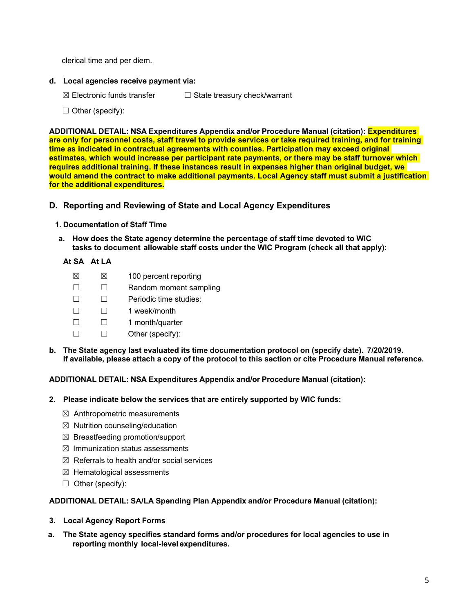clerical time and per diem.

- **d. Local agencies receive payment via:**
	- ☒ Electronic funds transfer ☐ State treasury check/warrant
	- $\Box$  Other (specify):

**ADDITIONAL DETAIL: NSA Expenditures Appendix and/or Procedure Manual (citation): Expenditures are only for personnel costs, staff travel to provide services or take required training, and for training time as indicated in contractual agreements with counties. Participation may exceed original estimates, which would increase per participant rate payments, or there may be staff turnover which requires additional training. If these instances result in expenses higher than original budget, we would amend the contract to make additional payments. Local Agency staff must submit a justification for the additional expenditures.**

- <span id="page-4-0"></span>**D. Reporting and Reviewing of State and Local Agency Expenditures**
	- **1. Documentation of Staff Time**
	- **a. How does the State agency determine the percentage of staff time devoted to WIC tasks to document allowable staff costs under the WIC Program (check all that apply):**

## **At SA At LA**

- $\boxtimes$   $\boxtimes$  100 percent reporting
- ☐ ☐ Random moment sampling
- ☐ ☐ Periodic time studies:
- ☐ ☐ 1 week/month
- ☐ ☐ 1 month/quarter
- ☐ ☐ Other (specify):
- **b. The State agency last evaluated its time documentation protocol on (specify date). 7/20/2019. If available, please attach a copy of the protocol to this section or cite Procedure Manual reference.**

**ADDITIONAL DETAIL: NSA Expenditures Appendix and/or Procedure Manual (citation):**

- **2. Please indicate below the services that are entirely supported by WIC funds:**
	- $\boxtimes$  Anthropometric measurements
	- $\boxtimes$  Nutrition counseling/education
	- ☒ Breastfeeding promotion/support
	- $\boxtimes$  Immunization status assessments
	- $\boxtimes$  Referrals to health and/or social services
	- ☒ Hematological assessments
	- $\Box$  Other (specify):

**ADDITIONAL DETAIL: SA/LA Spending Plan Appendix and/or Procedure Manual (citation):** 

- **3. Local Agency Report Forms**
- **a. The State agency specifies standard forms and/or procedures for local agencies to use in reporting monthly local-level expenditures.**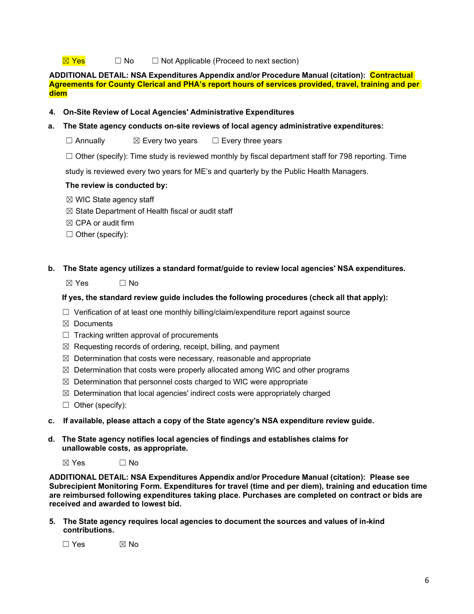### $\overline{\boxtimes}$  Yes  $\Box$  No  $\Box$  Not Applicable (Proceed to next section)

**ADDITIONAL DETAIL: NSA Expenditures Appendix and/or Procedure Manual (citation): Contractual Agreements for County Clerical and PHA's report hours of services provided, travel, training and per diem**

- **4. On-Site Review of Local Agencies' Administrative Expenditures**
- **a. The State agency conducts on-site reviews of local agency administrative expenditures:**

☐ Annually ☒ Every two years ☐ Every three years

 $\Box$  Other (specify): Time study is reviewed monthly by fiscal department staff for 798 reporting. Time

study is reviewed every two years for ME's and quarterly by the Public Health Managers.

#### **The review is conducted by:**

- $\boxtimes$  WIC State agency staff
- $\boxtimes$  State Department of Health fiscal or audit staff
- $\boxtimes$  CPA or audit firm
- ☐ Other (specify):

### **b. The State agency utilizes a standard format/guide to review local agencies' NSA expenditures.**

 $\boxtimes$  Yes  $\Box$  No

#### **If yes, the standard review guide includes the following procedures (check all that apply):**

- $\Box$  Verification of at least one monthly billing/claim/expenditure report against source
- ☒ Documents
- $\Box$  Tracking written approval of procurements
- $\boxtimes$  Requesting records of ordering, receipt, billing, and payment
- $\boxtimes$  Determination that costs were necessary, reasonable and appropriate
- $\boxtimes$  Determination that costs were properly allocated among WIC and other programs
- $\boxtimes$  Determination that personnel costs charged to WIC were appropriate
- $\boxtimes$  Determination that local agencies' indirect costs were appropriately charged
- ☐ Other (specify):
- **c. If available, please attach a copy of the State agency's NSA expenditure review guide.**
- **d. The State agency notifies local agencies of findings and establishes claims for unallowable costs, as appropriate.**
	- $\boxtimes$  Yes  $\Box$  No

**ADDITIONAL DETAIL: NSA Expenditures Appendix and/or Procedure Manual (citation): Please see Subrecipient Monitoring Form. Expenditures for travel (time and per diem), training and education time are reimbursed following expenditures taking place. Purchases are completed on contract or bids are received and awarded to lowest bid.** 

**5. The State agency requires local agencies to document the sources and values of in-kind contributions.**

 $\Box$  Yes  $\boxtimes$  No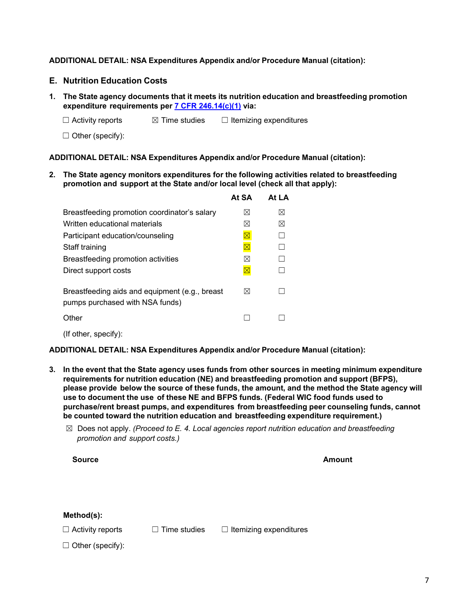## **ADDITIONAL DETAIL: NSA Expenditures Appendix and/or Procedure Manual (citation):**

## <span id="page-6-0"></span>**E. Nutrition Education Costs**

**1. The State agency documents that it meets its nutrition education and breastfeeding promotion expenditure requirements per 7 CFR [246.14\(c\)\(1\)](https://ecfr.federalregister.gov/current/title-7/subtitle-B/chapter-II/subchapter-A/part-246#p-246.4(a)(12)) via:**

☐ Activity reports ☒ Time studies ☐ Itemizing expenditures

☐ Other (specify):

**ADDITIONAL DETAIL: NSA Expenditures Appendix and/or Procedure Manual (citation):**

**2. The State agency monitors expenditures for the following activities related to breastfeeding promotion and support at the State and/or local level (check all that apply):**

|                                                                                   | At SA                  | Δt I Δ      |
|-----------------------------------------------------------------------------------|------------------------|-------------|
| Breastfeeding promotion coordinator's salary                                      | ⊠                      | $\boxtimes$ |
| Written educational materials                                                     | $\bowtie$              | ⊠           |
| Participant education/counseling                                                  | $\boxtimes$            |             |
| Staff training                                                                    | $\overline{\boxtimes}$ |             |
| Breastfeeding promotion activities                                                | ⊠                      |             |
| Direct support costs                                                              | $\boxtimes$            |             |
| Breastfeeding aids and equipment (e.g., breast<br>pumps purchased with NSA funds) | $\bowtie$              |             |
| Other                                                                             |                        |             |
|                                                                                   |                        |             |

(If other, specify):

**ADDITIONAL DETAIL: NSA Expenditures Appendix and/or Procedure Manual (citation):** 

- **3. In the event that the State agency uses funds from other sources in meeting minimum expenditure requirements for nutrition education (NE) and breastfeeding promotion and support (BFPS), please provide below the source of these funds, the amount, and the method the State agency will use to document the use of these NE and BFPS funds. (Federal WIC food funds used to purchase/rent breast pumps, and expenditures from breastfeeding peer counseling funds, cannot be counted toward the nutrition education and breastfeeding expenditure requirement.)**
	- ☒ Does not apply. *(Proceed to E. 4. Local agencies report nutrition education and breastfeeding promotion and support costs.)*

**Source Amount**

**Method(s):**

☐ Activity reports ☐ Time studies ☐ Itemizing expenditures

 $\Box$  Other (specify):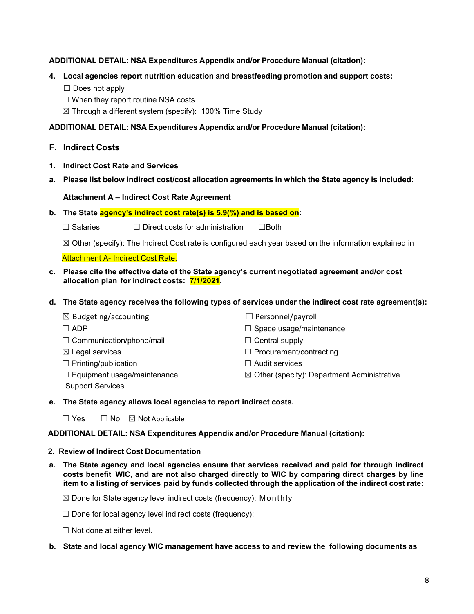## **ADDITIONAL DETAIL: NSA Expenditures Appendix and/or Procedure Manual (citation):**

## **4. Local agencies report nutrition education and breastfeeding promotion and support costs:**

- □ Does not apply
- $\Box$  When they report routine NSA costs

 $\boxtimes$  Through a different system (specify): 100% Time Study

## **ADDITIONAL DETAIL: NSA Expenditures Appendix and/or Procedure Manual (citation):**

- <span id="page-7-0"></span>**F. Indirect Costs**
- **1. Indirect Cost Rate and Services**
- **a. Please list below indirect cost/cost allocation agreements in which the State agency is included:**

## **Attachment A – Indirect Cost Rate Agreement**

**b. The State agency's indirect cost rate(s) is 5.9(%) and is based on:**

☐ Salaries ☐ Direct costs for administration ☐Both

 $\boxtimes$  Other (specify): The Indirect Cost rate is configured each year based on the information explained in

Attachment A- Indirect Cost Rate.

- **c. Please cite the effective date of the State agency's current negotiated agreement and/or cost allocation plan for indirect costs: 7/1/2021.**
- **d. The State agency receives the following types of services under the indirect cost rate agreement(s):**

| $\boxtimes$ Budgeting/accounting   | $\Box$ Personnel/payroll                               |
|------------------------------------|--------------------------------------------------------|
| $\Box$ ADP                         | $\Box$ Space usage/maintenance                         |
| $\Box$ Communication/phone/mail    | $\Box$ Central supply                                  |
| $\boxtimes$ Legal services         | $\Box$ Procurement/contracting                         |
| $\Box$ Printing/publication        | $\Box$ Audit services                                  |
| $\Box$ Equipment usage/maintenance | $\boxtimes$ Other (specify): Department Administrative |
| <b>Support Services</b>            |                                                        |

#### **e. The State agency allows local agencies to report indirect costs.**

 $\Box$  Yes  $\Box$  No  $\boxtimes$  Not Applicable

#### **ADDITIONAL DETAIL: NSA Expenditures Appendix and/or Procedure Manual (citation):**

#### **2. Review of Indirect Cost Documentation**

**a. The State agency and local agencies ensure that services received and paid for through indirect costs benefit WIC, and are not also charged directly to WIC by comparing direct charges by line** item to a listing of services paid by funds collected through the application of the indirect cost rate:

 $\boxtimes$  Done for State agency level indirect costs (frequency): Monthly

 $\Box$  Done for local agency level indirect costs (frequency):

☐ Not done at either level.

#### **b. State and local agency WIC management have access to and review the following documents as**